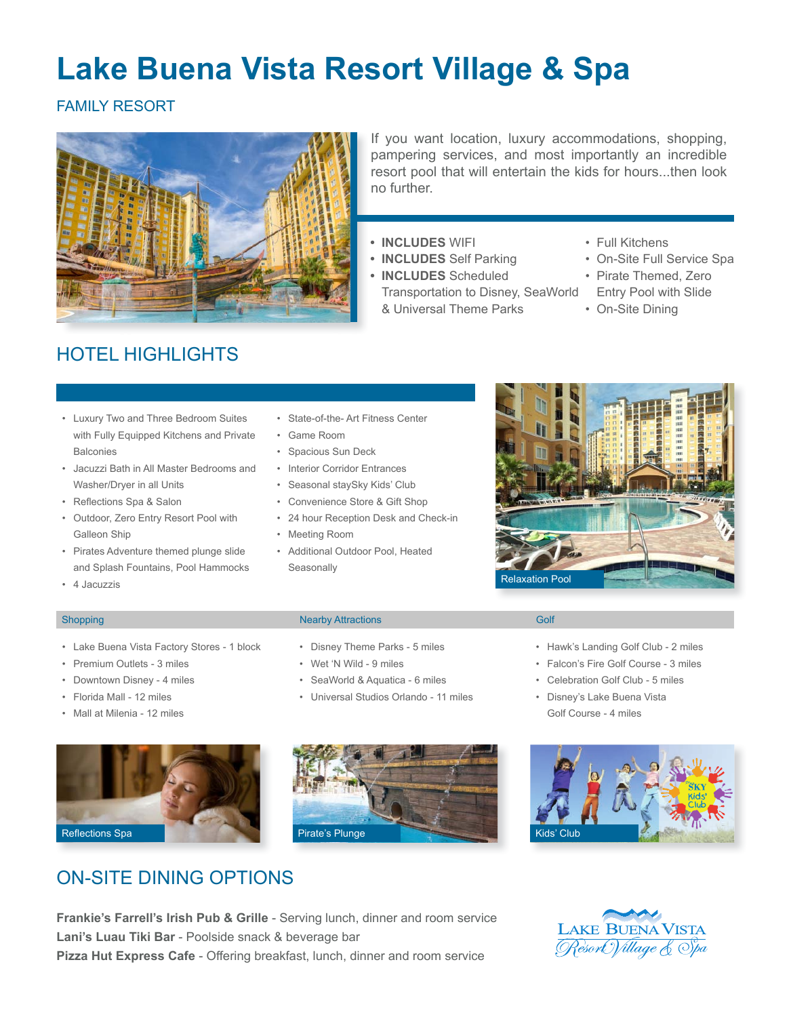# **Lake Buena Vista Resort Village & Spa**

FAMILY RESORT



If you want location, luxury accommodations, shopping, pampering services, and most importantly an incredible resort pool that will entertain the kids for hours...then look no further.

- **• INCLUDES** WIFI
- **• INCLUDES** Self Parking
- **• INCLUDES** Scheduled Transportation to Disney, SeaWorld & Universal Theme Parks
- Full Kitchens
- • On-Site Full Service Spa
- • Pirate Themed, Zero Entry Pool with Slide
	- On-Site Dining

- HOTEL HIGHLIGHTS
- • Luxury Two and Three Bedroom Suites with Fully Equipped Kitchens and Private **Balconies**
- • Jacuzzi Bath in All Master Bedrooms and Washer/Dryer in all Units
- • Reflections Spa & Salon
- • Outdoor, Zero Entry Resort Pool with Galleon Ship
- • Pirates Adventure themed plunge slide and Splash Fountains, Pool Hammocks
- • 4 Jacuzzis

## • State-of-the- Art Fitness Center

- • Game Room
- • Spacious Sun Deck
- • Interior Corridor Entrances
- • Seasonal staySky Kids' Club
- • Convenience Store & Gift Shop
- • 24 hour Reception Desk and Check-in
- • Meeting Room
- • Additional Outdoor Pool, Heated **Seasonally**



• Hawk's Landing Golf Club - 2 miles • Falcon's Fire Golf Course - 3 miles • Celebration Golf Club - 5 miles • Disney's Lake Buena Vista Golf Course - 4 miles

- • Lake Buena Vista Factory Stores 1 block
- • Premium Outlets 3 miles
- • Downtown Disney 4 miles
- • Florida Mall 12 miles
- • Mall at Milenia 12 miles



ON-SITE DINING OPTIONS

### Shopping **Nearby Attractions** Golf **Nearby Attractions** Colf **Colf Golf Colf Colf Colf**

- • Disney Theme Parks 5 miles
- • Wet 'N Wild 9 miles
- • SeaWorld & Aquatica 6 miles
- • Universal Studios Orlando 11 miles





**Frankie's Farrell's Irish Pub & Grille** - Serving lunch, dinner and room service **Lani's Luau Tiki Bar** - Poolside snack & beverage bar **Pizza Hut Express Cafe** - Offering breakfast, lunch, dinner and room service